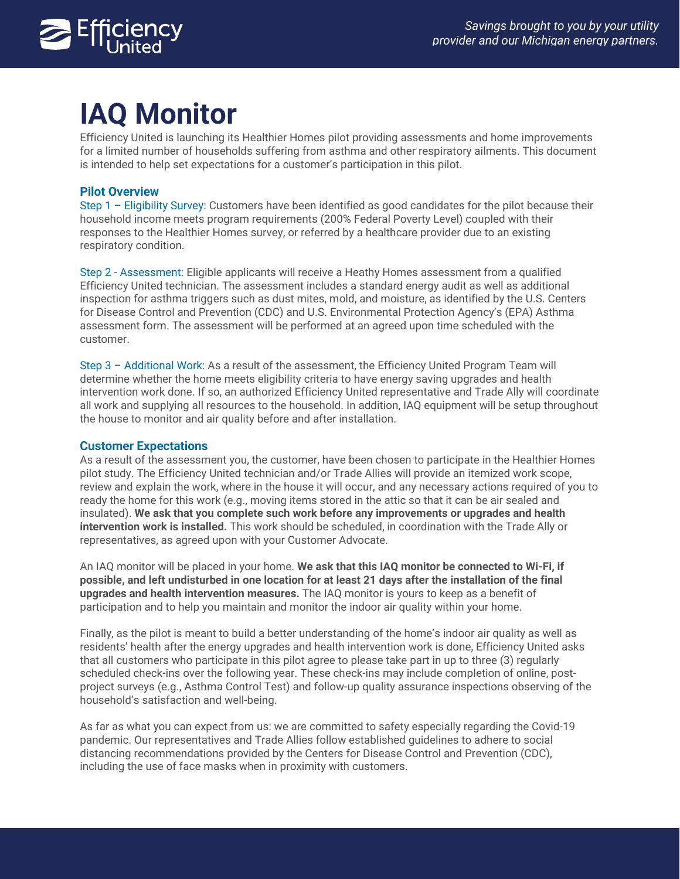

# **IAQ Monitor**

Efficiency United is launching its Healthier Homes pilot providing assessments and home improvements for a limited number of households suffering from asthma and other respiratory ailments. This document is intended to help set expectations for a customer's participation in this pilot.

## **Pilot Overview**

Step 1 – Eligibility Survey: Customers have been identified as good candidates for the pilot because their household income meets program requirements (200% Federal Poverty Level) coupled with their responses to the Healthier Homes survey, or referred by a healthcare provider due to an existing respiratory condition.

Step 2 - Assessment: Eligible applicants will receive a Heathy Homes assessment from a qualified Efficiency United technician. The assessment includes a standard energy audit as well as additional inspection for asthma triggers such as dust mites, mold, and moisture, as identified by the U.S. Centers for Disease Control and Prevention (CDC) and U.S. Environmental Protection Agency's (EPA) Asthma assessment form. The assessment will be performed at an agreed upon time scheduled with the customer.

Step 3 – Additional Work: As a result of the assessment, the Efficiency United Program Team will determine whether the home meets eligibility criteria to have energy saving upgrades and health intervention work done. If so, an authorized Efficiency United representative and Trade Ally will coordinate all work and supplying all resources to the household. In addition, IAQ equipment will be setup throughout the house to monitor and air quality before and after installation.

## **Customer Expectations**

As a result of the assessment you, the customer, have been chosen to participate in the Healthier Homes pilot study. The Efficiency United technician and/or Trade Allies will provide an itemized work scope, review and explain the work, where in the house it will occur, and any necessary actions required of you to ready the home for this work (e.g., moving items stored in the attic so that it can be air sealed and insulated). **We ask that you complete such work before any improvements or upgrades and health intervention work is installed.** This work should be scheduled, in coordination with the Trade Ally or representatives, as agreed upon with your Customer Advocate.

An IAQ monitor will be placed in your home. **We ask that this IAQ monitor be connected to Wi-Fi, if possible, and left undisturbed in one location for at least 21 days after the installation of the final upgrades and health intervention measures.** The IAQ monitor is yours to keep as a benefit of participation and to help you maintain and monitor the indoor air quality within your home.

Finally, as the pilot is meant to build a better understanding of the home's indoor air quality as well as residents' health after the energy upgrades and health intervention work is done, Efficiency United asks that all customers who participate in this pilot agree to please take part in up to three (3) regularly scheduled check-ins over the following year. These check-ins may include completion of online, postproject surveys (e.g., Asthma Control Test) and follow-up quality assurance inspections observing of the household's satisfaction and well-being.

As far as what you can expect from us: we are committed to safety especially regarding the Covid-19 pandemic. Our representatives and Trade Allies follow established guidelines to adhere to social distancing recommendations provided by the Centers for Disease Control and Prevention (CDC), including the use of face masks when in proximity with customers.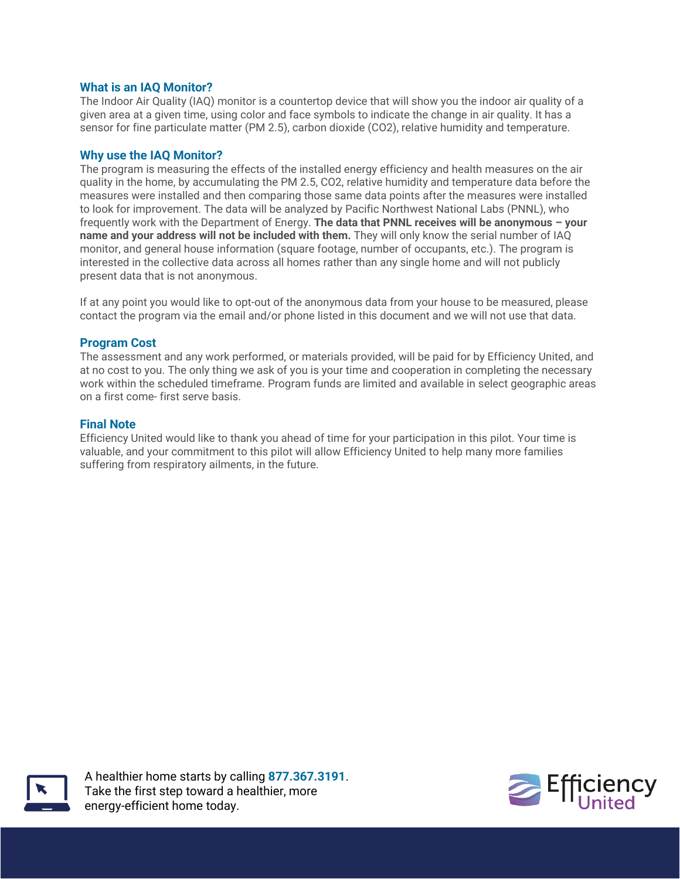#### **What is an IAQ Monitor?**

The Indoor Air Quality (IAQ) monitor is a countertop device that will show you the indoor air quality of a given area at a given time, using color and face symbols to indicate the change in air quality. It has a sensor for fine particulate matter (PM 2.5), carbon dioxide (CO2), relative humidity and temperature.

#### **Why use the IAQ Monitor?**

The program is measuring the effects of the installed energy efficiency and health measures on the air quality in the home, by accumulating the PM 2.5, CO2, relative humidity and temperature data before the measures were installed and then comparing those same data points after the measures were installed to look for improvement. The data will be analyzed by Pacific Northwest National Labs (PNNL), who frequently work with the Department of Energy. **The data that PNNL receives will be anonymous – your name and your address will not be included with them.** They will only know the serial number of IAQ monitor, and general house information (square footage, number of occupants, etc.). The program is interested in the collective data across all homes rather than any single home and will not publicly present data that is not anonymous.

If at any point you would like to opt-out of the anonymous data from your house to be measured, please contact the program via the email and/or phone listed in this document and we will not use that data.

#### **Program Cost**

The assessment and any work performed, or materials provided, will be paid for by Efficiency United, and at no cost to you. The only thing we ask of you is your time and cooperation in completing the necessary work within the scheduled timeframe. Program funds are limited and available in select geographic areas on a first come- first serve basis.

#### **Final Note**

Efficiency United would like to thank you ahead of time for your participation in this pilot. Your time is valuable, and your commitment to this pilot will allow Efficiency United to help many more families suffering from respiratory ailments, in the future.



A healthier home starts by calling **877.367.3191**. Take the first step toward a healthier, more energy-efficient home today.

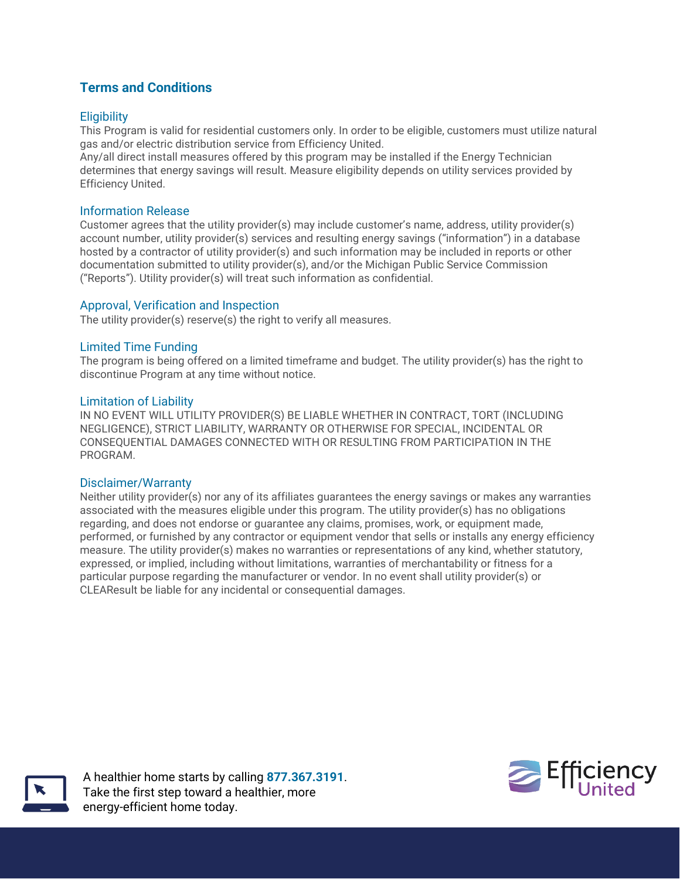## **Terms and Conditions**

## **Eligibility**

This Program is valid for residential customers only. In order to be eligible, customers must utilize natural gas and/or electric distribution service from Efficiency United.

Any/all direct install measures offered by this program may be installed if the Energy Technician determines that energy savings will result. Measure eligibility depends on utility services provided by Efficiency United.

#### Information Release

Customer agrees that the utility provider(s) may include customer's name, address, utility provider(s) account number, utility provider(s) services and resulting energy savings ("information") in a database hosted by a contractor of utility provider(s) and such information may be included in reports or other documentation submitted to utility provider(s), and/or the Michigan Public Service Commission ("Reports"). Utility provider(s) will treat such information as confidential.

## Approval, Verification and Inspection

The utility provider(s) reserve(s) the right to verify all measures.

#### Limited Time Funding

The program is being offered on a limited timeframe and budget. The utility provider(s) has the right to discontinue Program at any time without notice.

#### Limitation of Liability

IN NO EVENT WILL UTILITY PROVIDER(S) BE LIABLE WHETHER IN CONTRACT, TORT (INCLUDING NEGLIGENCE), STRICT LIABILITY, WARRANTY OR OTHERWISE FOR SPECIAL, INCIDENTAL OR CONSEQUENTIAL DAMAGES CONNECTED WITH OR RESULTING FROM PARTICIPATION IN THE PROGRAM.

#### Disclaimer/Warranty

Neither utility provider(s) nor any of its affiliates guarantees the energy savings or makes any warranties associated with the measures eligible under this program. The utility provider(s) has no obligations regarding, and does not endorse or guarantee any claims, promises, work, or equipment made, performed, or furnished by any contractor or equipment vendor that sells or installs any energy efficiency measure. The utility provider(s) makes no warranties or representations of any kind, whether statutory, expressed, or implied, including without limitations, warranties of merchantability or fitness for a particular purpose regarding the manufacturer or vendor. In no event shall utility provider(s) or CLEAResult be liable for any incidental or consequential damages.



A healthier home starts by calling **877.367.3191**. Take the first step toward a healthier, more energy-efficient home today.